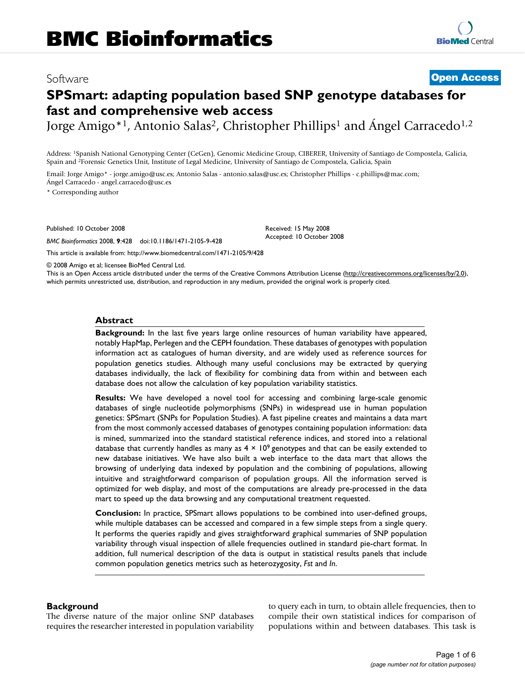# Software **Open Access SPSmart: adapting population based SNP genotype databases for fast and comprehensive web access**

Jorge Amigo\*<sup>1</sup>, Antonio Salas<sup>2</sup>, Christopher Phillips<sup>1</sup> and Ángel Carracedo<sup>1,2</sup>

Address: 1Spanish National Genotyping Center (CeGen), Genomic Medicine Group, CIBERER, University of Santiago de Compostela, Galicia, Spain and 2Forensic Genetics Unit, Institute of Legal Medicine, University of Santiago de Compostela, Galicia, Spain

Email: Jorge Amigo\* - jorge.amigo@usc.es; Antonio Salas - antonio.salas@usc.es; Christopher Phillips - c.phillips@mac.com; Ángel Carracedo - angel.carracedo@usc.es

\* Corresponding author

Published: 10 October 2008

*BMC Bioinformatics* 2008, **9**:428 doi:10.1186/1471-2105-9-428

Received: 15 May 2008 Accepted: 10 October 2008

This article is available from: http://www.biomedcentral.com/1471-2105/9/428

© 2008 Amigo et al; licensee BioMed Central Ltd.

This is an Open Access article distributed under the terms of the Creative Commons Attribution License (http://creativecommons.org/licenses/by/2.0), which permits unrestricted use, distribution, and reproduction in any medium, provided the original work is properly cited.

#### **Abstract**

**Background:** In the last five years large online resources of human variability have appeared, notably HapMap, Perlegen and the CEPH foundation. These databases of genotypes with population information act as catalogues of human diversity, and are widely used as reference sources for population genetics studies. Although many useful conclusions may be extracted by querying databases individually, the lack of flexibility for combining data from within and between each database does not allow the calculation of key population variability statistics.

**Results:** We have developed a novel tool for accessing and combining large-scale genomic databases of single nucleotide polymorphisms (SNPs) in widespread use in human population genetics: SPSmart (SNPs for Population Studies). A fast pipeline creates and maintains a data mart from the most commonly accessed databases of genotypes containing population information: data is mined, summarized into the standard statistical reference indices, and stored into a relational database that currently handles as many as  $4 \times 10^9$  genotypes and that can be easily extended to new database initiatives. We have also built a web interface to the data mart that allows the browsing of underlying data indexed by population and the combining of populations, allowing intuitive and straightforward comparison of population groups. All the information served is optimized for web display, and most of the computations are already pre-processed in the data mart to speed up the data browsing and any computational treatment requested.

**Conclusion:** In practice, SPSmart allows populations to be combined into user-defined groups, while multiple databases can be accessed and compared in a few simple steps from a single query. It performs the queries rapidly and gives straightforward graphical summaries of SNP population variability through visual inspection of allele frequencies outlined in standard pie-chart format. In addition, full numerical description of the data is output in statistical results panels that include common population genetics metrics such as heterozygosity, *Fst* and *In*.

#### **Background**

The diverse nature of the major online SNP databases requires the researcher interested in population variability to query each in turn, to obtain allele frequencies, then to compile their own statistical indices for comparison of populations within and between databases. This task is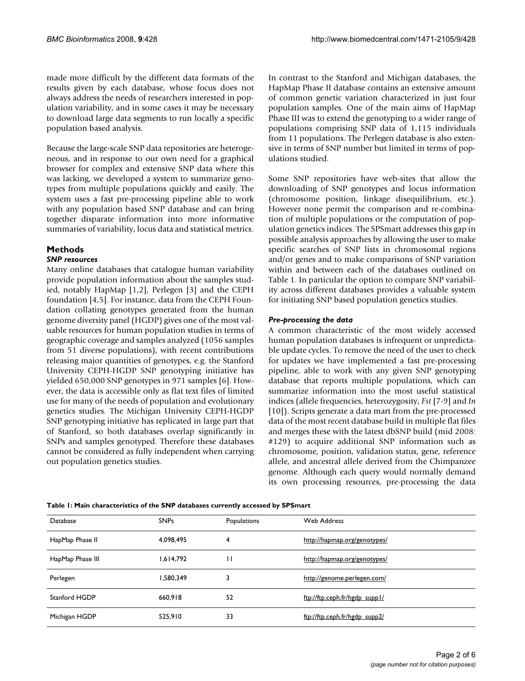made more difficult by the different data formats of the results given by each database, whose focus does not always address the needs of researchers interested in population variability, and in some cases it may be necessary to download large data segments to run locally a specific population based analysis.

Because the large-scale SNP data repositories are heterogeneous, and in response to our own need for a graphical browser for complex and extensive SNP data where this was lacking, we developed a system to summarize genotypes from multiple populations quickly and easily. The system uses a fast pre-processing pipeline able to work with any population based SNP database and can bring together disparate information into more informative summaries of variability, locus data and statistical metrics.

# **Methods**

#### *SNP resources*

Many online databases that catalogue human variability provide population information about the samples studied, notably HapMap [1,2], Perlegen [3] and the CEPH foundation [4,5]. For instance, data from the CEPH Foundation collating genotypes generated from the human genome diversity panel (HGDP) gives one of the most valuable resources for human population studies in terms of geographic coverage and samples analyzed (1056 samples from 51 diverse populations), with recent contributions releasing major quantities of genotypes, e.g. the Stanford University CEPH-HGDP SNP genotyping initiative has yielded 650,000 SNP genotypes in 971 samples [6]. However, the data is accessible only as flat text files of limited use for many of the needs of population and evolutionary genetics studies. The Michigan University CEPH-HGDP SNP genotyping initiative has replicated in large part that of Stanford, so both databases overlap significantly in SNPs and samples genotyped. Therefore these databases cannot be considered as fully independent when carrying out population genetics studies.

In contrast to the Stanford and Michigan databases, the HapMap Phase II database contains an extensive amount of common genetic variation characterized in just four population samples. One of the main aims of HapMap Phase III was to extend the genotyping to a wider range of populations comprising SNP data of 1,115 individuals from 11 populations. The Perlegen database is also extensive in terms of SNP number but limited in terms of populations studied.

Some SNP repositories have web-sites that allow the downloading of SNP genotypes and locus information (chromosome position, linkage disequilibrium, etc.). However none permit the comparison and re-combination of multiple populations or the computation of population genetics indices. The SPSmart addresses this gap in possible analysis approaches by allowing the user to make specific searches of SNP lists in chromosomal regions and/or genes and to make comparisons of SNP variation within and between each of the databases outlined on Table 1. In particular the option to compare SNP variability across different databases provides a valuable system for initiating SNP based population genetics studies.

#### *Pre-processing the data*

A common characteristic of the most widely accessed human population databases is infrequent or unpredictable update cycles. To remove the need of the user to check for updates we have implemented a fast pre-processing pipeline, able to work with any given SNP genotyping database that reports multiple populations, which can summarize information into the most useful statistical indices (allele frequencies, heterozygosity, *Fst* [7-9] and *In* [10]). Scripts generate a data mart from the pre-processed data of the most recent database build in multiple flat files and merges these with the latest dbSNP build (mid 2008: #129) to acquire additional SNP information such as chromosome, position, validation status, gene, reference allele, and ancestral allele derived from the Chimpanzee genome. Although each query would normally demand its own processing resources, pre-processing the data

| Database         | <b>SNPs</b> | Populations | <b>Web Address</b>            |
|------------------|-------------|-------------|-------------------------------|
| HapMap Phase II  | 4.098.495   | 4           | http://hapmap.org/genotypes/  |
| HapMap Phase III | 1,614,792   | П           | http://hapmap.org/genotypes/  |
| Perlegen         | 1,580,349   | 3           | http://genome.perlegen.com/   |
| Stanford HGDP    | 660,918     | 52          | ftp://ftp.ceph.fr/hgdp_supp1/ |
| Michigan HGDP    | 525,910     | 33          | ftp://ftp.ceph.fr/hgdp_supp2/ |

**Table 1: Main characteristics of the SNP databases currently accessed by SPSmart**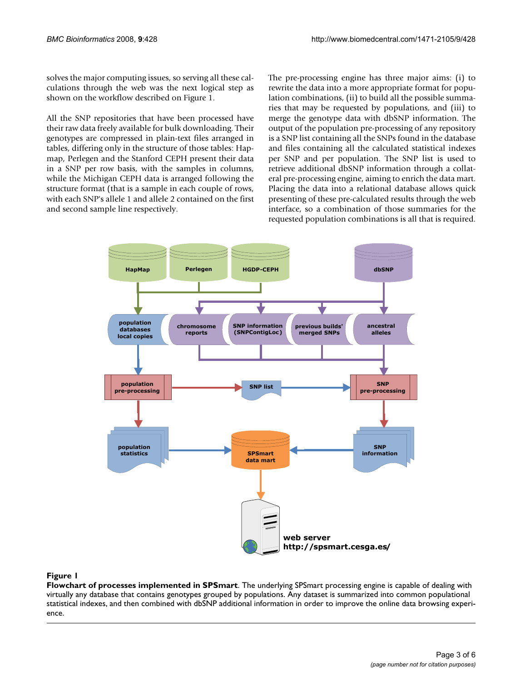solves the major computing issues, so serving all these calculations through the web was the next logical step as shown on the workflow described on Figure 1.

All the SNP repositories that have been processed have their raw data freely available for bulk downloading. Their genotypes are compressed in plain-text files arranged in tables, differing only in the structure of those tables: Hapmap, Perlegen and the Stanford CEPH present their data in a SNP per row basis, with the samples in columns, while the Michigan CEPH data is arranged following the structure format (that is a sample in each couple of rows, with each SNP's allele 1 and allele 2 contained on the first and second sample line respectively.

The pre-processing engine has three major aims: (i) to rewrite the data into a more appropriate format for population combinations, (ii) to build all the possible summaries that may be requested by populations, and (iii) to merge the genotype data with dbSNP information. The output of the population pre-processing of any repository is a SNP list containing all the SNPs found in the database and files containing all the calculated statistical indexes per SNP and per population. The SNP list is used to retrieve additional dbSNP information through a collateral pre-processing engine, aiming to enrich the data mart. Placing the data into a relational database allows quick presenting of these pre-calculated results through the web interface, so a combination of those summaries for the requested population combinations is all that is required.



#### Figure 1

**Flowchart of processes implemented in SPSmart**. The underlying SPSmart processing engine is capable of dealing with virtually any database that contains genotypes grouped by populations. Any dataset is summarized into common populational statistical indexes, and then combined with dbSNP additional information in order to improve the online data browsing experience.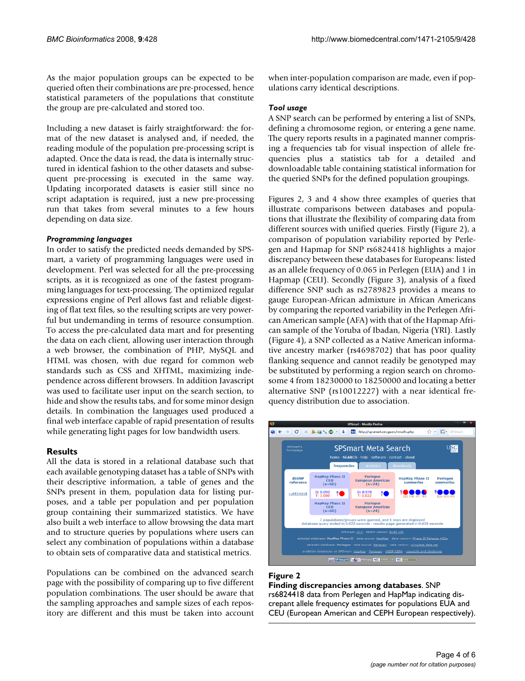As the major population groups can be expected to be queried often their combinations are pre-processed, hence statistical parameters of the populations that constitute the group are pre-calculated and stored too.

Including a new dataset is fairly straightforward: the format of the new dataset is analysed and, if needed, the reading module of the population pre-processing script is adapted. Once the data is read, the data is internally structured in identical fashion to the other datasets and subsequent pre-processing is executed in the same way. Updating incorporated datasets is easier still since no script adaptation is required, just a new pre-processing run that takes from several minutes to a few hours depending on data size.

#### *Programming languages*

In order to satisfy the predicted needs demanded by SPSmart, a variety of programming languages were used in development. Perl was selected for all the pre-processing scripts, as it is recognized as one of the fastest programming languages for text-processing. The optimized regular expressions engine of Perl allows fast and reliable digesting of flat text files, so the resulting scripts are very powerful but undemanding in terms of resource consumption. To access the pre-calculated data mart and for presenting the data on each client, allowing user interaction through a web browser, the combination of PHP, MySQL and HTML was chosen, with due regard for common web standards such as CSS and XHTML, maximizing independence across different browsers. In addition Javascript was used to facilitate user input on the search section, to hide and show the results tabs, and for some minor design details. In combination the languages used produced a final web interface capable of rapid presentation of results while generating light pages for low bandwidth users.

#### **Results**

All the data is stored in a relational database such that each available genotyping dataset has a table of SNPs with their descriptive information, a table of genes and the SNPs present in them, population data for listing purposes, and a table per population and per population group containing their summarized statistics. We have also built a web interface to allow browsing the data mart and to structure queries by populations where users can select any combination of populations within a database to obtain sets of comparative data and statistical metrics.

Populations can be combined on the advanced search page with the possibility of comparing up to five different population combinations. The user should be aware that the sampling approaches and sample sizes of each repository are different and this must be taken into account when inter-population comparison are made, even if populations carry identical descriptions.

### *Tool usage*

A SNP search can be performed by entering a list of SNPs, defining a chromosome region, or entering a gene name. The query reports results in a paginated manner comprising a frequencies tab for visual inspection of allele frequencies plus a statistics tab for a detailed and downloadable table containing statistical information for the queried SNPs for the defined population groupings.

Figures 2, 3 and 4 show three examples of queries that illustrate comparisons between databases and populations that illustrate the flexibility of comparing data from different sources with unified queries. Firstly (Figure 2), a comparison of population variability reported by Perlegen and Hapmap for SNP rs6824418 highlights a major discrepancy between these databases for Europeans: listed as an allele frequency of 0.065 in Perlegen (EUA) and 1 in Hapmap (CEU). Secondly (Figure 3), analysis of a fixed difference SNP such as rs2789823 provides a means to gauge European-African admixture in African Americans by comparing the reported variability in the Perlegen African American sample (AFA) with that of the Hapmap African sample of the Yoruba of Ibadan, Nigeria (YRI). Lastly (Figure 4), a SNP collected as a Native American informative ancestry marker (rs4698702) that has poor quality flanking sequence and cannot readily be genotyped may be substituted by performing a region search on chromosome 4 from 18230000 to 18250000 and locating a better alternative SNP (rs10012227) with a near identical frequency distribution due to association.



#### Figure 2

**Finding discrepancies among databases**. SNP rs6824418 data from Perlegen and HapMap indicating discrepant allele frequency estimates for populations EUA and CEU (European American and CEPH European respectively).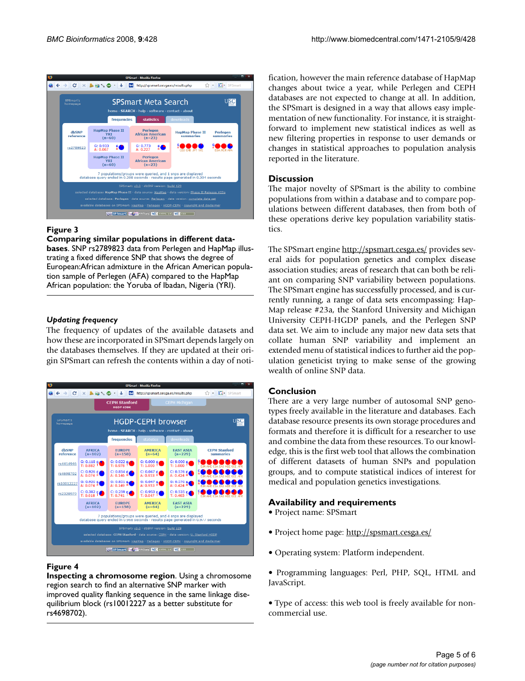

# **Figure 3**

**Comparing similar populations in different databases**. SNP rs2789823 data from Perlegen and HapMap illustrating a fixed difference SNP that shows the degree of European:African admixture in the African American population sample of Perlegen (AFA) compared to the HapMap African population: the Yoruba of Ibadan, Nigeria (YRI).

## *Updating frequency*

The frequency of updates of the available datasets and how these are incorporated in SPSmart depends largely on the databases themselves. If they are updated at their origin SPSmart can refresh the contents within a day of noti-



#### **Figure 4**

**Inspecting a chromosome region**. Using a chromosome region search to find an alternative SNP marker with improved quality flanking sequence in the same linkage disequilibrium block (rs10012227 as a better substitute for rs4698702).

fication, however the main reference database of HapMap changes about twice a year, while Perlegen and CEPH databases are not expected to change at all. In addition, the SPSmart is designed in a way that allows easy implementation of new functionality. For instance, it is straightforward to implement new statistical indices as well as new filtering properties in response to user demands or changes in statistical approaches to population analysis reported in the literature.

# **Discussion**

The major novelty of SPSmart is the ability to combine populations from within a database and to compare populations between different databases, then from both of these operations derive key population variability statistics.

The SPSmart engine http://spsmart.cesga.es/ provides several aids for population genetics and complex disease association studies; areas of research that can both be reliant on comparing SNP variability between populations. The SPSmart engine has successfully processed, and is currently running, a range of data sets encompassing: Hap-Map release #23a, the Stanford University and Michigan University CEPH-HGDP panels, and the Perlegen SNP data set. We aim to include any major new data sets that collate human SNP variability and implement an extended menu of statistical indices to further aid the population geneticist trying to make sense of the growing wealth of online SNP data.

# **Conclusion**

There are a very large number of autosomal SNP genotypes freely available in the literature and databases. Each database resource presents its own storage procedures and formats and therefore it is difficult for a researcher to use and combine the data from these resources. To our knowledge, this is the first web tool that allows the combination of different datasets of human SNPs and population groups, and to compute statistical indices of interest for medical and population genetics investigations.

# **Availability and requirements**

- Project name: SPSmart
- Project home page: http://spsmart.cesga.es/
- Operating system: Platform independent.
- Programming languages: Perl, PHP, SQL, HTML and JavaScript.
- Type of access: this web tool is freely available for noncommercial use.